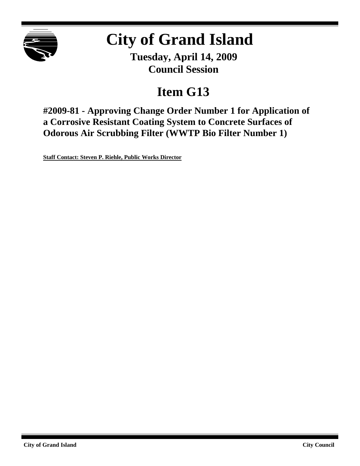

# **City of Grand Island**

**Tuesday, April 14, 2009 Council Session**

# **Item G13**

**#2009-81 - Approving Change Order Number 1 for Application of a Corrosive Resistant Coating System to Concrete Surfaces of Odorous Air Scrubbing Filter (WWTP Bio Filter Number 1)**

**Staff Contact: Steven P. Riehle, Public Works Director**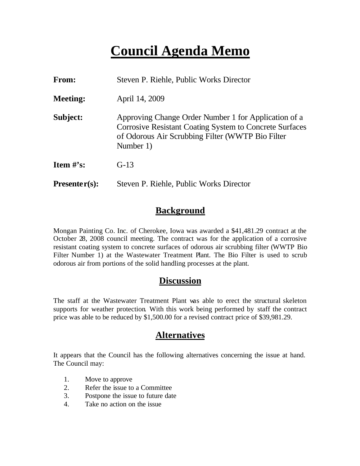# **Council Agenda Memo**

| From:                          | Steven P. Riehle, Public Works Director                                                                                                                                                 |  |
|--------------------------------|-----------------------------------------------------------------------------------------------------------------------------------------------------------------------------------------|--|
| <b>Meeting:</b>                | April 14, 2009                                                                                                                                                                          |  |
| Subject:                       | Approving Change Order Number 1 for Application of a<br><b>Corrosive Resistant Coating System to Concrete Surfaces</b><br>of Odorous Air Scrubbing Filter (WWTP Bio Filter<br>Number 1) |  |
| <b>Item <math>\#</math>'s:</b> | $G-13$                                                                                                                                                                                  |  |
| $Presenter(s):$                | Steven P. Riehle, Public Works Director                                                                                                                                                 |  |

# **Background**

Mongan Painting Co. Inc. of Cherokee, Iowa was awarded a \$41,481.29 contract at the October 28, 2008 council meeting. The contract was for the application of a corrosive resistant coating system to concrete surfaces of odorous air scrubbing filter (WWTP Bio Filter Number 1) at the Wastewater Treatment Plant. The Bio Filter is used to scrub odorous air from portions of the solid handling processes at the plant.

### **Discussion**

The staff at the Wastewater Treatment Plant was able to erect the structural skeleton supports for weather protection. With this work being performed by staff the contract price was able to be reduced by \$1,500.00 for a revised contract price of \$39,981.29.

# **Alternatives**

It appears that the Council has the following alternatives concerning the issue at hand. The Council may:

- 1. Move to approve
- 2. Refer the issue to a Committee
- 3. Postpone the issue to future date
- 4. Take no action on the issue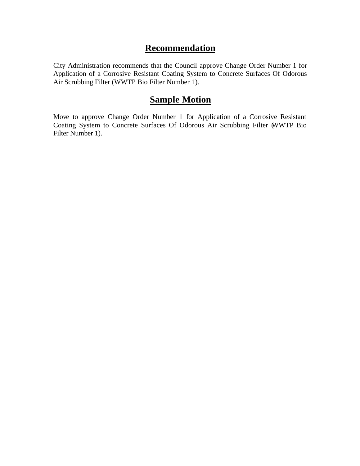## **Recommendation**

City Administration recommends that the Council approve Change Order Number 1 for Application of a Corrosive Resistant Coating System to Concrete Surfaces Of Odorous Air Scrubbing Filter (WWTP Bio Filter Number 1).

### **Sample Motion**

Move to approve Change Order Number 1 for Application of a Corrosive Resistant Coating System to Concrete Surfaces Of Odorous Air Scrubbing Filter (WWTP Bio Filter Number 1).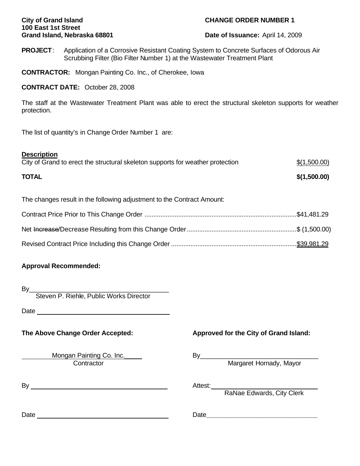# **100 East 1st Street**

### **City of Grand Island CHANGE ORDER NUMBER 1**

**Grand Island, Nebraska 68801 Date of Issuance:** April 14, 2009

**PROJECT**: Application of a Corrosive Resistant Coating System to Concrete Surfaces of Odorous Air Scrubbing Filter (Bio Filter Number 1) at the Wastewater Treatment Plant

**CONTRACTOR:** Mongan Painting Co. Inc., of Cherokee, Iowa

### **CONTRACT DATE:** October 28, 2008

The staff at the Wastewater Treatment Plant was able to erect the structural skeleton supports for weather protection.

The list of quantity's in Change Order Number 1 are:

#### **Description**

| City of Grand to erect the structural skeleton supports for weather protection | \$(1,500.00) |
|--------------------------------------------------------------------------------|--------------|
| <b>TOTAL</b>                                                                   | \$(1,500.00) |

The changes result in the following adjustment to the Contract Amount:

### **Approval Recommended:**

By\_\_\_\_\_\_\_\_\_\_\_\_\_\_\_\_\_\_\_\_\_\_\_\_\_\_\_\_\_\_\_\_\_\_\_\_\_\_\_

Steven P. Riehle, Public Works Director

Date and the contract of the contract of the contract of the contract of the contract of the contract of the contract of the contract of the contract of the contract of the contract of the contract of the contract of the c

Contractor **Margaret Hornady, Mayor** Margaret Hornady, Mayor

By Attest:

### **The Above Change Order Accepted: Approved for the City of Grand Island:**

Mongan Painting Co. Inc. Co. Co. Co. Communication By Co. Communication By Communication By Communication Co.

RaNae Edwards, City Clerk

Date Date**\_\_\_\_\_\_\_\_\_\_\_\_\_\_\_\_\_\_\_\_\_\_\_\_\_\_\_\_\_\_\_**